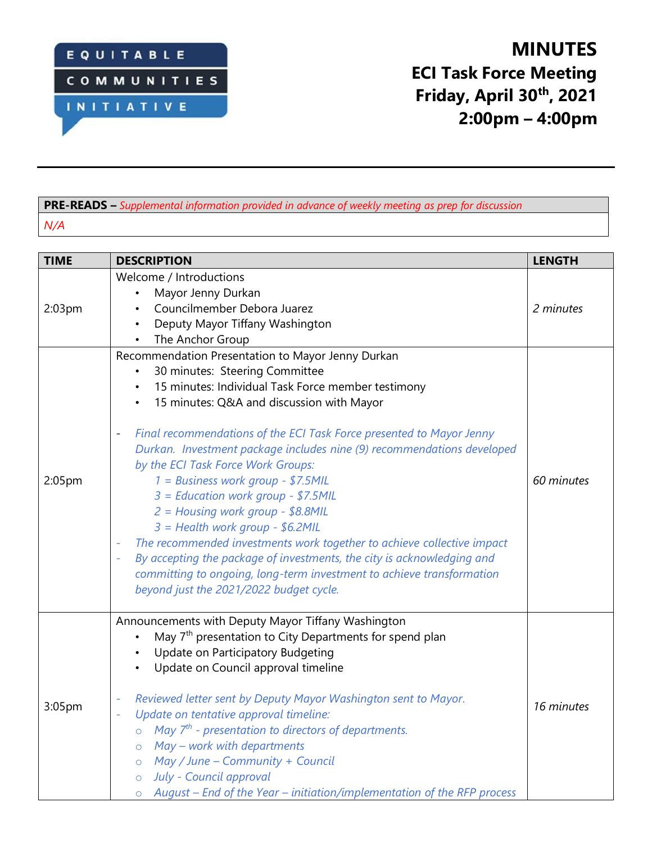

## **PRE-READS –** *Supplemental information provided in advance of weekly meeting as prep for discussion N/A*

| <b>TIME</b> | <b>DESCRIPTION</b>                                                                                                                                                                                                                                                                                                                                                                                                                                                                                                                                                                                                                                                                                                                                                                                                                | <b>LENGTH</b> |
|-------------|-----------------------------------------------------------------------------------------------------------------------------------------------------------------------------------------------------------------------------------------------------------------------------------------------------------------------------------------------------------------------------------------------------------------------------------------------------------------------------------------------------------------------------------------------------------------------------------------------------------------------------------------------------------------------------------------------------------------------------------------------------------------------------------------------------------------------------------|---------------|
| 2:03pm      | Welcome / Introductions<br>Mayor Jenny Durkan<br>Councilmember Debora Juarez<br>Deputy Mayor Tiffany Washington<br>The Anchor Group<br>$\bullet$                                                                                                                                                                                                                                                                                                                                                                                                                                                                                                                                                                                                                                                                                  | 2 minutes     |
| 2:05pm      | Recommendation Presentation to Mayor Jenny Durkan<br>30 minutes: Steering Committee<br>15 minutes: Individual Task Force member testimony<br>15 minutes: Q&A and discussion with Mayor<br>Final recommendations of the ECI Task Force presented to Mayor Jenny<br>$\qquad \qquad -$<br>Durkan. Investment package includes nine (9) recommendations developed<br>by the ECI Task Force Work Groups:<br>1 = Business work group - \$7.5MIL<br>3 = Education work group - \$7.5MIL<br>2 = Housing work group - \$8.8MIL<br>3 = Health work group - \$6.2MIL<br>The recommended investments work together to achieve collective impact<br>By accepting the package of investments, the city is acknowledging and<br>committing to ongoing, long-term investment to achieve transformation<br>beyond just the 2021/2022 budget cycle. | 60 minutes    |
| 3:05pm      | Announcements with Deputy Mayor Tiffany Washington<br>May 7 <sup>th</sup> presentation to City Departments for spend plan<br>Update on Participatory Budgeting<br>Update on Council approval timeline<br>Reviewed letter sent by Deputy Mayor Washington sent to Mayor.<br>Update on tentative approval timeline:<br>÷,<br>May $7th$ - presentation to directors of departments.<br>$\circ$<br>May - work with departments<br>$\circ$<br>$\circ$ May / June - Community + Council<br>o July - Council approval<br>$\circ$ August – End of the Year – initiation/implementation of the RFP process                                                                                                                                                                                                                                 | 16 minutes    |